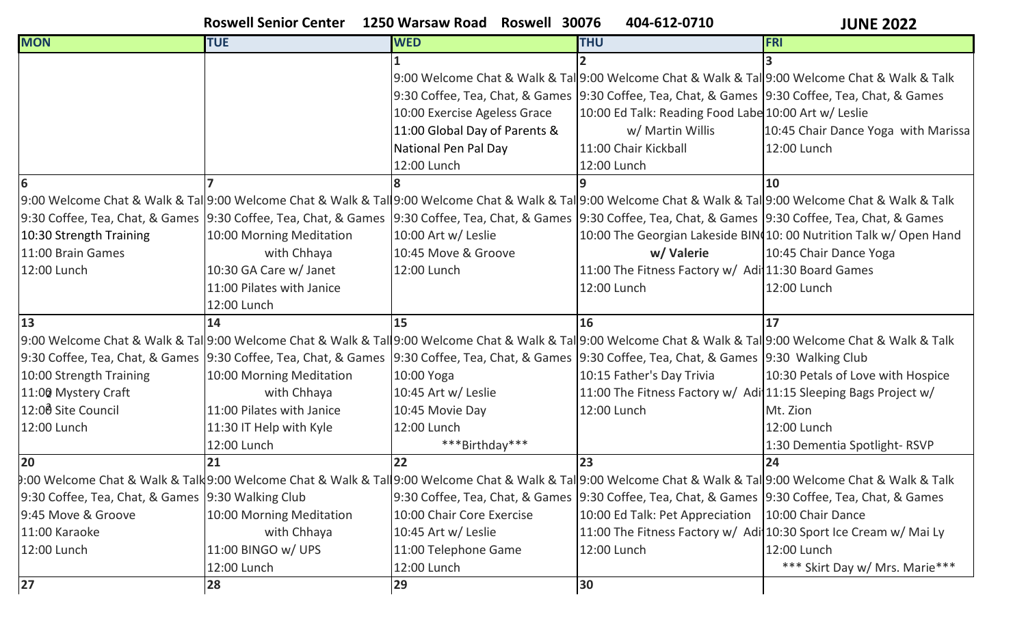## **Roswell Senior Center 1250 Warsaw Road Roswell 30076 404-612-0710**

**JUNE 2022**

| <b>MON</b>                                         | <b>TUE</b>                                                                                                                                                          | <b>WED</b>                    | <b>THU</b>                                                                                        | <b>FRI</b>                                                                                                                                                   |
|----------------------------------------------------|---------------------------------------------------------------------------------------------------------------------------------------------------------------------|-------------------------------|---------------------------------------------------------------------------------------------------|--------------------------------------------------------------------------------------------------------------------------------------------------------------|
|                                                    |                                                                                                                                                                     |                               |                                                                                                   |                                                                                                                                                              |
|                                                    |                                                                                                                                                                     |                               |                                                                                                   | 9:00 Welcome Chat & Walk & Tal 9:00 Welcome Chat & Walk & Tal 9:00 Welcome Chat & Walk & Talk                                                                |
|                                                    |                                                                                                                                                                     |                               | 9:30 Coffee, Tea, Chat, & Games  9:30 Coffee, Tea, Chat, & Games  9:30 Coffee, Tea, Chat, & Games |                                                                                                                                                              |
|                                                    |                                                                                                                                                                     | 10:00 Exercise Ageless Grace  | 10:00 Ed Talk: Reading Food Labe 10:00 Art w/ Leslie                                              |                                                                                                                                                              |
|                                                    |                                                                                                                                                                     | 11:00 Global Day of Parents & | w/ Martin Willis                                                                                  | 10:45 Chair Dance Yoga with Marissa                                                                                                                          |
|                                                    |                                                                                                                                                                     | National Pen Pal Day          | 11:00 Chair Kickball                                                                              | 12:00 Lunch                                                                                                                                                  |
|                                                    |                                                                                                                                                                     | 12:00 Lunch                   | 12:00 Lunch                                                                                       |                                                                                                                                                              |
| 6                                                  |                                                                                                                                                                     |                               |                                                                                                   | 10                                                                                                                                                           |
|                                                    |                                                                                                                                                                     |                               |                                                                                                   | 9:00 Welcome Chat & Walk & Tal 9:00 Welcome Chat & Walk & Tal 9:00 Welcome Chat & Walk & Tal 9:00 Welcome Chat & Walk & Tal 9:00 Welcome Chat & Walk & Talk  |
|                                                    | 9:30 Coffee, Tea, Chat, & Games  9:30 Coffee, Tea, Chat, & Games  9:30 Coffee, Tea, Chat, & Games  9:30 Coffee, Tea, Chat, & Games  9:30 Coffee, Tea, Chat, & Games |                               |                                                                                                   |                                                                                                                                                              |
| 10:30 Strength Training                            | 10:00 Morning Meditation                                                                                                                                            | 10:00 Art w/ Leslie           |                                                                                                   | 10:00 The Georgian Lakeside BIN(10: 00 Nutrition Talk w/ Open Hand                                                                                           |
| 11:00 Brain Games                                  | with Chhaya                                                                                                                                                         | 10:45 Move & Groove           | w/Valerie                                                                                         | 10:45 Chair Dance Yoga                                                                                                                                       |
| 12:00 Lunch                                        | 10:30 GA Care w/ Janet                                                                                                                                              | 12:00 Lunch                   | 11:00 The Fitness Factory w/ Adi 11:30 Board Games                                                |                                                                                                                                                              |
|                                                    | 11:00 Pilates with Janice                                                                                                                                           |                               | 12:00 Lunch                                                                                       | 12:00 Lunch                                                                                                                                                  |
|                                                    | 12:00 Lunch                                                                                                                                                         |                               |                                                                                                   |                                                                                                                                                              |
| 13                                                 | 14                                                                                                                                                                  | 15                            | 16                                                                                                | 17                                                                                                                                                           |
|                                                    |                                                                                                                                                                     |                               |                                                                                                   | 9:00 Welcome Chat & Walk & Tal 9:00 Welcome Chat & Walk & Tal 9:00 Welcome Chat & Walk & Tal 9:00 Welcome Chat & Walk & Tal 9:00 Welcome Chat & Walk & Talk  |
|                                                    | 9:30 Coffee, Tea, Chat, & Games  9:30 Coffee, Tea, Chat, & Games  9:30 Coffee, Tea, Chat, & Games  9:30 Coffee, Tea, Chat, & Games  9:30 Walking Club               |                               |                                                                                                   |                                                                                                                                                              |
| 10:00 Strength Training                            | 10:00 Morning Meditation                                                                                                                                            | 10:00 Yoga                    | 10:15 Father's Day Trivia                                                                         | 10:30 Petals of Love with Hospice                                                                                                                            |
| 11:00 Mystery Craft                                | with Chhaya                                                                                                                                                         | 10:45 Art w/ Leslie           | 11:00 The Fitness Factory w/ Adi 11:15 Sleeping Bags Project w/                                   |                                                                                                                                                              |
| 12:00 Site Council                                 | 11:00 Pilates with Janice                                                                                                                                           | 10:45 Movie Day               | 12:00 Lunch                                                                                       | Mt. Zion                                                                                                                                                     |
| 12:00 Lunch                                        | 11:30 IT Help with Kyle                                                                                                                                             | 12:00 Lunch                   |                                                                                                   | 12:00 Lunch                                                                                                                                                  |
|                                                    | 12:00 Lunch                                                                                                                                                         | ***Birthday***                |                                                                                                   | 1:30 Dementia Spotlight-RSVP                                                                                                                                 |
| 20                                                 | 21                                                                                                                                                                  | 22                            | 23                                                                                                | 24                                                                                                                                                           |
|                                                    |                                                                                                                                                                     |                               |                                                                                                   | 9:00 Welcome Chat & Walk & Talk 9:00 Welcome Chat & Walk & Tal 9:00 Welcome Chat & Walk & Tal 9:00 Welcome Chat & Walk & Tal 9:00 Welcome Chat & Walk & Talk |
| 9:30 Coffee, Tea, Chat, & Games  9:30 Walking Club |                                                                                                                                                                     |                               | 9:30 Coffee, Tea, Chat, & Games  9:30 Coffee, Tea, Chat, & Games  9:30 Coffee, Tea, Chat, & Games |                                                                                                                                                              |
| 9:45 Move & Groove                                 | 10:00 Morning Meditation                                                                                                                                            | 10:00 Chair Core Exercise     | 10:00 Ed Talk: Pet Appreciation   10:00 Chair Dance                                               |                                                                                                                                                              |
| 11:00 Karaoke                                      | with Chhaya                                                                                                                                                         | 10:45 Art w/ Leslie           | 11:00 The Fitness Factory w/ Adi 10:30 Sport Ice Cream w/ Mai Ly                                  |                                                                                                                                                              |
| 12:00 Lunch                                        | 11:00 BINGO w/ UPS                                                                                                                                                  | 11:00 Telephone Game          | 12:00 Lunch                                                                                       | 12:00 Lunch                                                                                                                                                  |
|                                                    | 12:00 Lunch                                                                                                                                                         | 12:00 Lunch                   |                                                                                                   | *** Skirt Day w/ Mrs. Marie***                                                                                                                               |
| $27$                                               | 28                                                                                                                                                                  | 29                            | 30                                                                                                |                                                                                                                                                              |